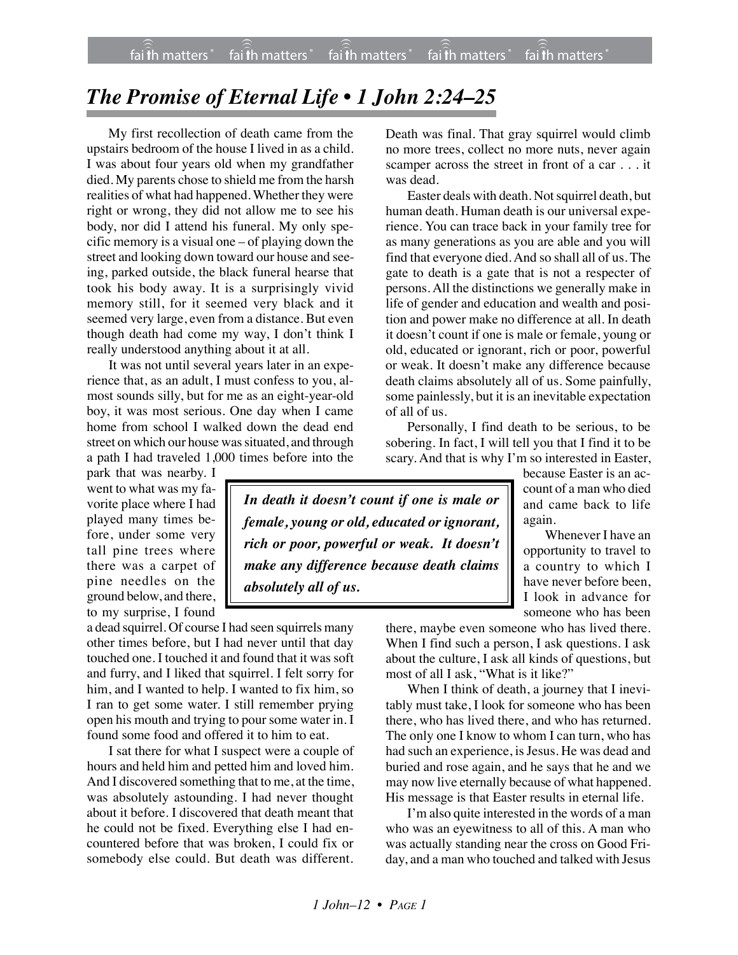## *The Promise of Eternal Life • 1 John 2:24–25*

My first recollection of death came from the upstairs bedroom of the house I lived in as a child. I was about four years old when my grandfather died. My parents chose to shield me from the harsh realities of what had happened. Whether they were right or wrong, they did not allow me to see his body, nor did I attend his funeral. My only specific memory is a visual one – of playing down the street and looking down toward our house and seeing, parked outside, the black funeral hearse that took his body away. It is a surprisingly vivid memory still, for it seemed very black and it seemed very large, even from a distance. But even though death had come my way, I don't think I really understood anything about it at all.

It was not until several years later in an experience that, as an adult, I must confess to you, almost sounds silly, but for me as an eight-year-old boy, it was most serious. One day when I came home from school I walked down the dead end street on which our house was situated, and through a path I had traveled 1,000 times before into the

park that was nearby. I went to what was my favorite place where I had played many times before, under some very tall pine trees where there was a carpet of pine needles on the ground below, and there, to my surprise, I found

a dead squirrel. Of course I had seen squirrels many other times before, but I had never until that day touched one. I touched it and found that it was soft and furry, and I liked that squirrel. I felt sorry for him, and I wanted to help. I wanted to fix him, so I ran to get some water. I still remember prying open his mouth and trying to pour some water in. I found some food and offered it to him to eat.

I sat there for what I suspect were a couple of hours and held him and petted him and loved him. And I discovered something that to me, at the time, was absolutely astounding. I had never thought about it before. I discovered that death meant that he could not be fixed. Everything else I had encountered before that was broken, I could fix or somebody else could. But death was different.

Death was final. That gray squirrel would climb no more trees, collect no more nuts, never again scamper across the street in front of a car . . . it was dead.

Easter deals with death. Not squirrel death, but human death. Human death is our universal experience. You can trace back in your family tree for as many generations as you are able and you will find that everyone died. And so shall all of us. The gate to death is a gate that is not a respecter of persons. All the distinctions we generally make in life of gender and education and wealth and position and power make no difference at all. In death it doesn't count if one is male or female, young or old, educated or ignorant, rich or poor, powerful or weak. It doesn't make any difference because death claims absolutely all of us. Some painfully, some painlessly, but it is an inevitable expectation of all of us.

Personally, I find death to be serious, to be sobering. In fact, I will tell you that I find it to be scary. And that is why I'm so interested in Easter,

*In death it doesn't count if one is male or female, young or old, educated or ignorant, rich or poor, powerful or weak. It doesn't make any difference because death claims absolutely all of us.*

because Easter is an account of a man who died and came back to life again.

Whenever I have an opportunity to travel to a country to which I have never before been, I look in advance for someone who has been

there, maybe even someone who has lived there. When I find such a person, I ask questions. I ask about the culture, I ask all kinds of questions, but most of all I ask, "What is it like?"

When I think of death, a journey that I inevitably must take, I look for someone who has been there, who has lived there, and who has returned. The only one I know to whom I can turn, who has had such an experience, is Jesus. He was dead and buried and rose again, and he says that he and we may now live eternally because of what happened. His message is that Easter results in eternal life.

I'm also quite interested in the words of a man who was an eyewitness to all of this. A man who was actually standing near the cross on Good Friday, and a man who touched and talked with Jesus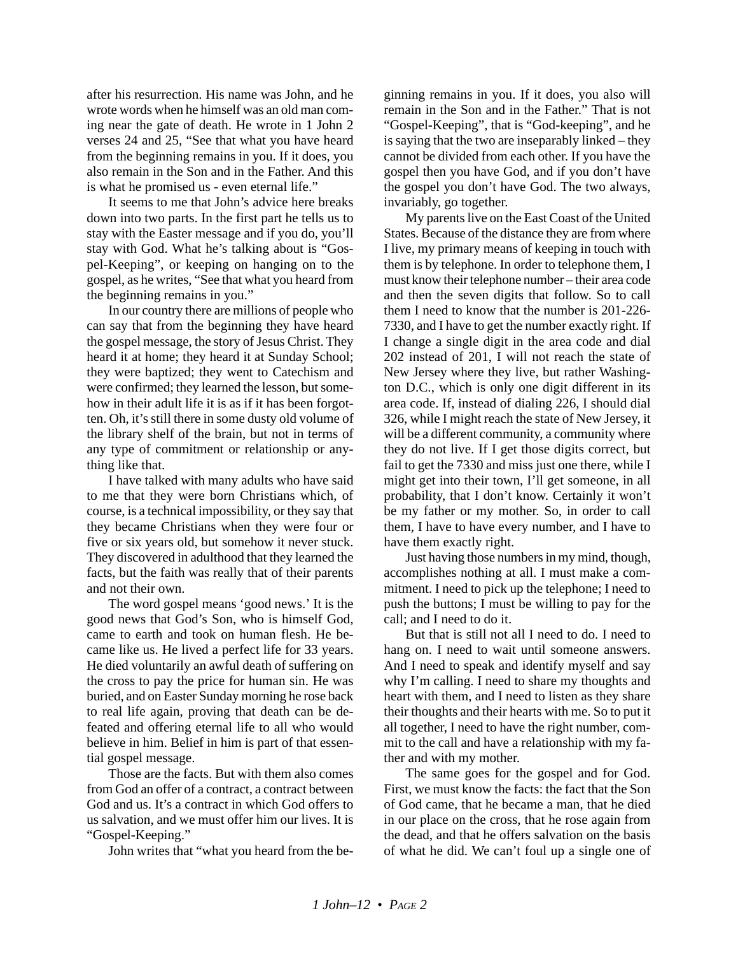after his resurrection. His name was John, and he wrote words when he himself was an old man coming near the gate of death. He wrote in 1 John 2 verses 24 and 25, "See that what you have heard from the beginning remains in you. If it does, you also remain in the Son and in the Father. And this is what he promised us - even eternal life."

It seems to me that John's advice here breaks down into two parts. In the first part he tells us to stay with the Easter message and if you do, you'll stay with God. What he's talking about is "Gospel-Keeping", or keeping on hanging on to the gospel, as he writes, "See that what you heard from the beginning remains in you."

In our country there are millions of people who can say that from the beginning they have heard the gospel message, the story of Jesus Christ. They heard it at home; they heard it at Sunday School; they were baptized; they went to Catechism and were confirmed; they learned the lesson, but somehow in their adult life it is as if it has been forgotten. Oh, it's still there in some dusty old volume of the library shelf of the brain, but not in terms of any type of commitment or relationship or anything like that.

I have talked with many adults who have said to me that they were born Christians which, of course, is a technical impossibility, or they say that they became Christians when they were four or five or six years old, but somehow it never stuck. They discovered in adulthood that they learned the facts, but the faith was really that of their parents and not their own.

The word gospel means 'good news.' It is the good news that God's Son, who is himself God, came to earth and took on human flesh. He became like us. He lived a perfect life for 33 years. He died voluntarily an awful death of suffering on the cross to pay the price for human sin. He was buried, and on Easter Sunday morning he rose back to real life again, proving that death can be defeated and offering eternal life to all who would believe in him. Belief in him is part of that essential gospel message.

Those are the facts. But with them also comes from God an offer of a contract, a contract between God and us. It's a contract in which God offers to us salvation, and we must offer him our lives. It is "Gospel-Keeping."

John writes that "what you heard from the be-

ginning remains in you. If it does, you also will remain in the Son and in the Father." That is not "Gospel-Keeping", that is "God-keeping", and he is saying that the two are inseparably linked – they cannot be divided from each other. If you have the gospel then you have God, and if you don't have the gospel you don't have God. The two always, invariably, go together.

My parents live on the East Coast of the United States. Because of the distance they are from where I live, my primary means of keeping in touch with them is by telephone. In order to telephone them, I must know their telephone number – their area code and then the seven digits that follow. So to call them I need to know that the number is 201-226- 7330, and I have to get the number exactly right. If I change a single digit in the area code and dial 202 instead of 201, I will not reach the state of New Jersey where they live, but rather Washington D.C., which is only one digit different in its area code. If, instead of dialing 226, I should dial 326, while I might reach the state of New Jersey, it will be a different community, a community where they do not live. If I get those digits correct, but fail to get the 7330 and miss just one there, while I might get into their town, I'll get someone, in all probability, that I don't know. Certainly it won't be my father or my mother. So, in order to call them, I have to have every number, and I have to have them exactly right.

Just having those numbers in my mind, though, accomplishes nothing at all. I must make a commitment. I need to pick up the telephone; I need to push the buttons; I must be willing to pay for the call; and I need to do it.

But that is still not all I need to do. I need to hang on. I need to wait until someone answers. And I need to speak and identify myself and say why I'm calling. I need to share my thoughts and heart with them, and I need to listen as they share their thoughts and their hearts with me. So to put it all together, I need to have the right number, commit to the call and have a relationship with my father and with my mother.

The same goes for the gospel and for God. First, we must know the facts: the fact that the Son of God came, that he became a man, that he died in our place on the cross, that he rose again from the dead, and that he offers salvation on the basis of what he did. We can't foul up a single one of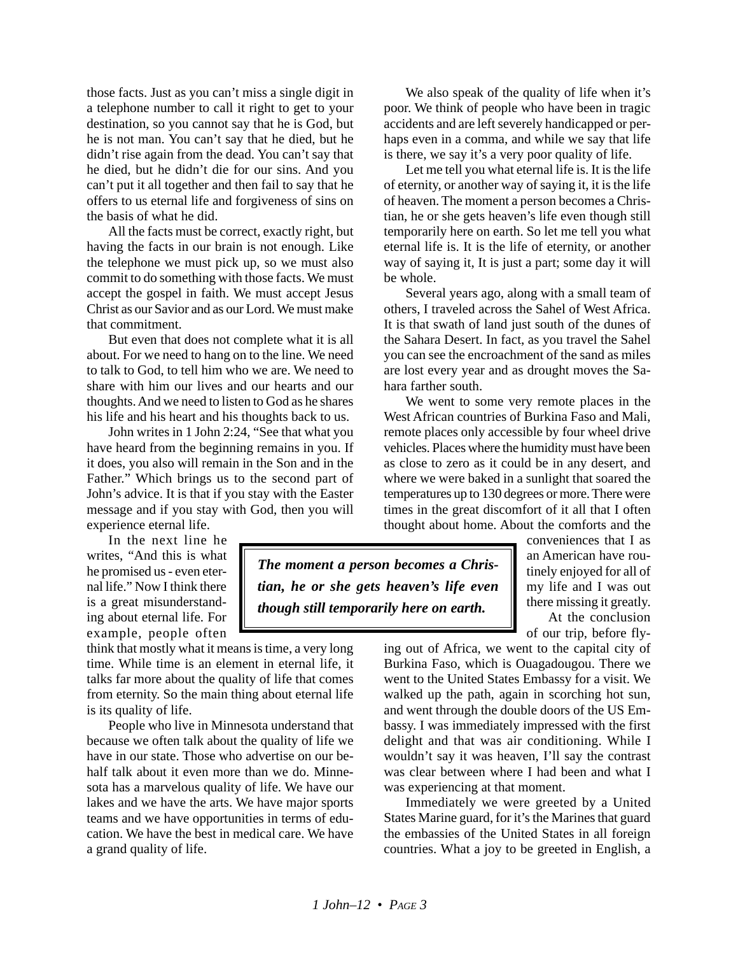those facts. Just as you can't miss a single digit in a telephone number to call it right to get to your destination, so you cannot say that he is God, but he is not man. You can't say that he died, but he didn't rise again from the dead. You can't say that he died, but he didn't die for our sins. And you can't put it all together and then fail to say that he offers to us eternal life and forgiveness of sins on the basis of what he did.

All the facts must be correct, exactly right, but having the facts in our brain is not enough. Like the telephone we must pick up, so we must also commit to do something with those facts. We must accept the gospel in faith. We must accept Jesus Christ as our Savior and as our Lord. We must make that commitment.

But even that does not complete what it is all about. For we need to hang on to the line. We need to talk to God, to tell him who we are. We need to share with him our lives and our hearts and our thoughts. And we need to listen to God as he shares his life and his heart and his thoughts back to us.

John writes in 1 John 2:24, "See that what you have heard from the beginning remains in you. If it does, you also will remain in the Son and in the Father." Which brings us to the second part of John's advice. It is that if you stay with the Easter message and if you stay with God, then you will experience eternal life.

In the next line he writes, "And this is what he promised us - even eternal life." Now I think there is a great misunderstanding about eternal life. For example, people often

think that mostly what it means is time, a very long time. While time is an element in eternal life, it talks far more about the quality of life that comes from eternity. So the main thing about eternal life is its quality of life.

People who live in Minnesota understand that because we often talk about the quality of life we have in our state. Those who advertise on our behalf talk about it even more than we do. Minnesota has a marvelous quality of life. We have our lakes and we have the arts. We have major sports teams and we have opportunities in terms of education. We have the best in medical care. We have a grand quality of life.

We also speak of the quality of life when it's poor. We think of people who have been in tragic accidents and are left severely handicapped or perhaps even in a comma, and while we say that life is there, we say it's a very poor quality of life.

Let me tell you what eternal life is. It is the life of eternity, or another way of saying it, it is the life of heaven. The moment a person becomes a Christian, he or she gets heaven's life even though still temporarily here on earth. So let me tell you what eternal life is. It is the life of eternity, or another way of saying it, It is just a part; some day it will be whole.

Several years ago, along with a small team of others, I traveled across the Sahel of West Africa. It is that swath of land just south of the dunes of the Sahara Desert. In fact, as you travel the Sahel you can see the encroachment of the sand as miles are lost every year and as drought moves the Sahara farther south.

We went to some very remote places in the West African countries of Burkina Faso and Mali, remote places only accessible by four wheel drive vehicles. Places where the humidity must have been as close to zero as it could be in any desert, and where we were baked in a sunlight that soared the temperatures up to 130 degrees or more. There were times in the great discomfort of it all that I often thought about home. About the comforts and the

*The moment a person becomes a Christian, he or she gets heaven's life even though still temporarily here on earth.*

conveniences that I as an American have routinely enjoyed for all of my life and I was out there missing it greatly. At the conclusion

of our trip, before fly-

ing out of Africa, we went to the capital city of Burkina Faso, which is Ouagadougou. There we went to the United States Embassy for a visit. We walked up the path, again in scorching hot sun, and went through the double doors of the US Embassy. I was immediately impressed with the first delight and that was air conditioning. While I wouldn't say it was heaven, I'll say the contrast was clear between where I had been and what I was experiencing at that moment.

Immediately we were greeted by a United States Marine guard, for it's the Marines that guard the embassies of the United States in all foreign countries. What a joy to be greeted in English, a